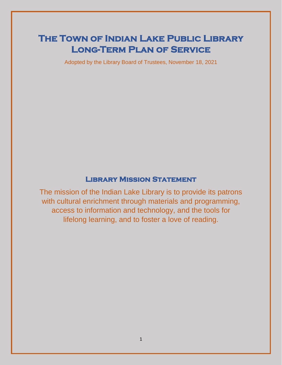# **The Town of Indian Lake Public Library Long-Term Plan of Service**

Adopted by the Library Board of Trustees, November 18, 2021

## **Library Mission Statement**

The mission of the Indian Lake Library is to provide its patrons with cultural enrichment through materials and programming, access to information and technology, and the tools for lifelong learning, and to foster a love of reading.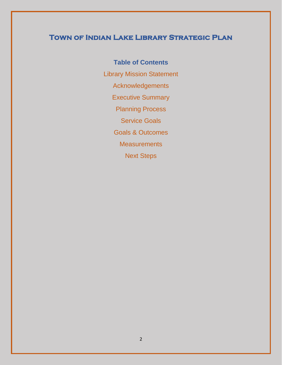# **Town of Indian Lake Library Strategic Plan**

**Table of Contents** Library Mission Statement Acknowledgements Executive Summary Planning Process Service Goals Goals & Outcomes **Measurements** Next Steps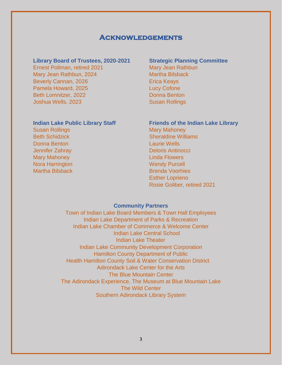#### **Acknowledgements**

#### **Library Board of Trustees, 2020-2021 Strategic Planning Committee**

Ernest Pollman, retired 2021 Mary Jean Rathbun Mary Jean Rathbun, 2024 Martha Bilsback Beverly Cannan, 2026 **Example 2026** Erica Keays Pamela Howard, 2025 Lucy Cofone Beth Lomnitzer, 2022 Donna Benton **Joshua Wells, 2023** Susan Rollings

Susan Rollings Mary Mary Mahoney Donna Benton Laurie Wells Mary Mahoney **Linda Flowers** Nora Harrington Nora Barrington Wendy Purcell

## **Indian Lake Public Library Staff Friends of the Indian Lake Library**

**Beth Schidzick Sheraldine Williams** Sheraldine Williams **Jennifer Zahray Deloris Antinocci** Martha Bilsback Brenda Voorhies Esther Loprieno Rosie Goliber, retired 2021

#### **Community Partners**

Town of Indian Lake Board Members & Town Hall Employees Indian Lake Department of Parks & Recreation Indian Lake Chamber of Commerce & Welcome Center Indian Lake Central School Indian Lake Theater Indian Lake Community Development Corporation Hamilton County Department of Public Health Hamilton County Soil & Water Conservation District Adirondack Lake Center for the Arts The Blue Mountain Center The Adirondack Experience, The Museum at Blue Mountain Lake The Wild Center Southern Adirondack Library System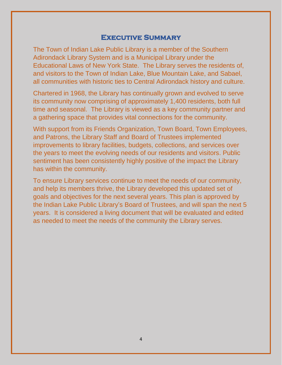#### **Executive Summary**

The Town of Indian Lake Public Library is a member of the Southern Adirondack Library System and is a Municipal Library under the Educational Laws of New York State. The Library serves the residents of, and visitors to the Town of Indian Lake, Blue Mountain Lake, and Sabael, all communities with historic ties to Central Adirondack history and culture.

Chartered in 1968, the Library has continually grown and evolved to serve its community now comprising of approximately 1,400 residents, both full time and seasonal. The Library is viewed as a key community partner and a gathering space that provides vital connections for the community.

With support from its Friends Organization, Town Board, Town Employees, and Patrons, the Library Staff and Board of Trustees implemented improvements to library facilities, budgets, collections, and services over the years to meet the evolving needs of our residents and visitors. Public sentiment has been consistently highly positive of the impact the Library has within the community.

To ensure Library services continue to meet the needs of our community, and help its members thrive, the Library developed this updated set of goals and objectives for the next several years. This plan is approved by the Indian Lake Public Library's Board of Trustees, and will span the next 5 years. It is considered a living document that will be evaluated and edited as needed to meet the needs of the community the Library serves.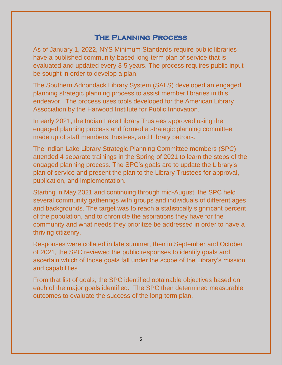## **The Planning Process**

As of January 1, 2022, NYS Minimum Standards require public libraries have a published community-based long-term plan of service that is evaluated and updated every 3-5 years. The process requires public input be sought in order to develop a plan.

The Southern Adirondack Library System (SALS) developed an engaged planning strategic planning process to assist member libraries in this endeavor. The process uses tools developed for the American Library Association by the Harwood Institute for Public Innovation.

In early 2021, the Indian Lake Library Trustees approved using the engaged planning process and formed a strategic planning committee made up of staff members, trustees, and Library patrons.

The Indian Lake Library Strategic Planning Committee members (SPC) attended 4 separate trainings in the Spring of 2021 to learn the steps of the engaged planning process. The SPC's goals are to update the Library's plan of service and present the plan to the Library Trustees for approval, publication, and implementation.

Starting in May 2021 and continuing through mid-August, the SPC held several community gatherings with groups and individuals of different ages and backgrounds. The target was to reach a statistically significant percent of the population, and to chronicle the aspirations they have for the community and what needs they prioritize be addressed in order to have a thriving citizenry.

Responses were collated in late summer, then in September and October of 2021, the SPC reviewed the public responses to identify goals and ascertain which of those goals fall under the scope of the Library's mission and capabilities.

From that list of goals, the SPC identified obtainable objectives based on each of the major goals identified. The SPC then determined measurable outcomes to evaluate the success of the long-term plan.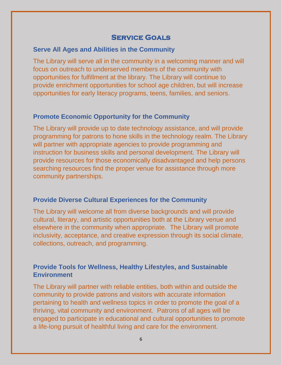### **Service Goals**

#### **Serve All Ages and Abilities in the Community**

The Library will serve all in the community in a welcoming manner and will focus on outreach to underserved members of the community with opportunities for fulfillment at the library. The Library will continue to provide enrichment opportunities for school age children, but will increase opportunities for early literacy programs, teens, families, and seniors.

#### **Promote Economic Opportunity for the Community**

The Library will provide up to date technology assistance, and will provide programming for patrons to hone skills in the technology realm. The Library will partner with appropriate agencies to provide programming and instruction for business skills and personal development. The Library will provide resources for those economically disadvantaged and help persons searching resources find the proper venue for assistance through more community partnerships.

#### **Provide Diverse Cultural Experiences for the Community**

The Library will welcome all from diverse backgrounds and will provide cultural, literary, and artistic opportunities both at the Library venue and elsewhere in the community when appropriate. The Library will promote inclusivity, acceptance, and creative expression through its social climate, collections, outreach, and programming.

#### **Provide Tools for Wellness, Healthy Lifestyles, and Sustainable Environment**

The Library will partner with reliable entities, both within and outside the community to provide patrons and visitors with accurate information pertaining to health and wellness topics in order to promote the goal of a thriving, vital community and environment. Patrons of all ages will be engaged to participate in educational and cultural opportunities to promote a life-long pursuit of healthful living and care for the environment.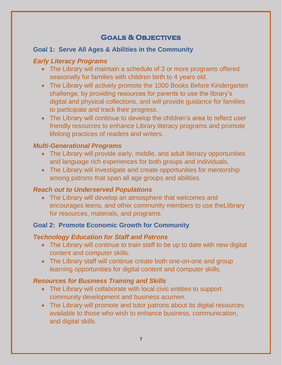# **Goals & Objectives**

#### **Goal 1: Serve All Ages & Abilities in the Community**

#### *Early Literacy Programs*

- The Library will maintain a schedule of 3 or more programs offered seasonally for families with children birth to 4 years old.
- The Library will actively promote the 1000 Books Before Kindergarten challenge, by providing resources for parents to use the library's digital and physical collections, and will provide guidance for families to participate and track their progress.
- The Library will continue to develop the children's area to reflect user friendly resources to enhance Library literacy programs and promote lifelong practices of readers and writers.

#### *Multi-Generational Programs*

- The Library will provide early, middle, and adult literacy opportunities and language rich experiences for both groups and individuals.
- The Library will investigate and create opportunities for mentorship among patrons that span all age groups and abilities.

#### *Reach out to Underserved Populations*

• The Library will develop an atmosphere that welcomes and encourages teens, and other community members to use theLlibrary for resources, materials, and programs.

#### **Goal 2: Promote Economic Growth for Community**

#### *Technology Education for Staff and Patrons*

- The Library will continue to train staff to be up to date with new digital content and computer skills.
- The Library staff will continue create both one-on-one and group learning opportunities for digital content and computer skills.

#### *Resources for Business Training and Skills*

- The Library will collaborate with local civic entities to support community development and business acumen.
- The Library will promote and tutor patrons about its digital resources available to those who wish to enhance business, communication, and digital skills.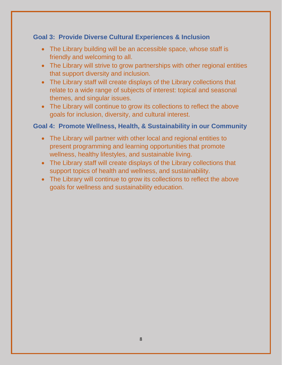### **Goal 3: Provide Diverse Cultural Experiences & Inclusion**

- The Library building will be an accessible space, whose staff is friendly and welcoming to all.
- The Library will strive to grow partnerships with other regional entities that support diversity and inclusion.
- The Library staff will create displays of the Library collections that relate to a wide range of subjects of interest: topical and seasonal themes, and singular issues.
- The Library will continue to grow its collections to reflect the above goals for inclusion, diversity, and cultural interest.

#### **Goal 4: Promote Wellness, Health, & Sustainability in our Community**

- The Library will partner with other local and regional entities to present programming and learning opportunities that promote wellness, healthy lifestyles, and sustainable living.
- The Library staff will create displays of the Library collections that support topics of health and wellness, and sustainability.
- The Library will continue to grow its collections to reflect the above goals for wellness and sustainability education.